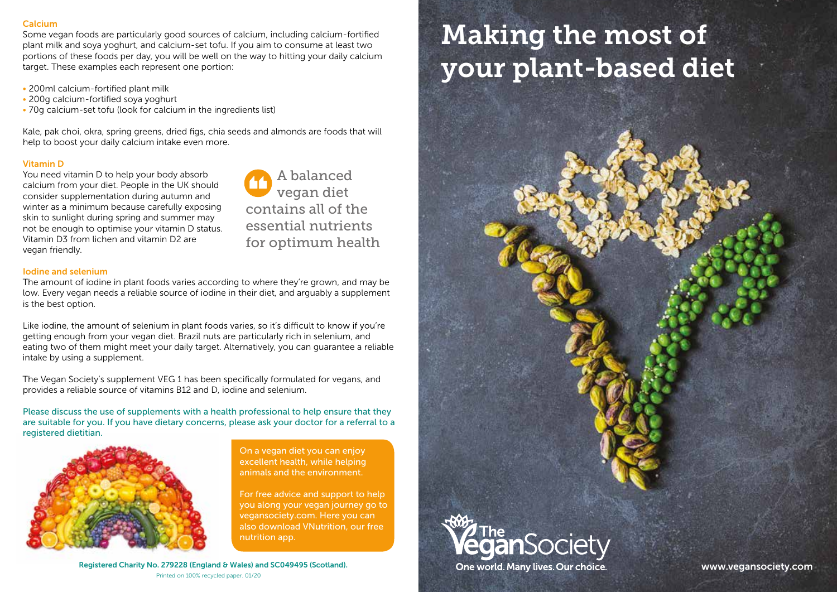# Calcium

Some vegan foods are particularly good sources of calcium, including calcium-fortified plant milk and soya yoghurt, and calcium-set tofu. If you aim to consume at least two portions of these foods per day, you will be well on the way to hitting your daily calcium target. These examples each represent one portion:

- 200ml calcium-fortified plant milk
- 200g calcium-fortified soya yoghurt
- 70g calcium-set tofu (look for calcium in the ingredients list)

Kale, pak choi, okra, spring greens, dried figs, chia seeds and almonds are foods that will help to boost your daily calcium intake even more.

# Vitamin D

You need vitamin D to help your body absorb calcium from your diet. People in the UK should consider supplementation during autumn and winter as a minimum because carefully exposing skin to sunlight during spring and summer may not be enough to optimise your vitamin D status. Vitamin D3 from lichen and vitamin D2 are vegan friendly.

A balanced vegan diet contains all of the essential nutrients for optimum health

## Iodine and selenium

The amount of iodine in plant foods varies according to where they're grown, and may be low. Every vegan needs a reliable source of iodine in their diet, and arguably a supplement is the best option.

Like jodine, the amount of selenium in plant foods varies, so it's difficult to know if you're getting enough from your vegan diet. Brazil nuts are particularly rich in selenium, and eating two of them might meet your daily target. Alternatively, you can guarantee a reliable intake by using a supplement.

The Vegan Society's supplement VEG 1 has been specifically formulated for vegans, and provides a reliable source of vitamins B12 and D, iodine and selenium.

Please discuss the use of supplements with a health professional to help ensure that they are suitable for you. If you have dietary concerns, please ask your doctor for a referral to a registered dietitian.



On a vegan diet you can enjoy excellent health, while helping animals and the environment.

For free advice and support to help you along your vegan journey go to vegansociety.com. Here you can also download VNutrition, our free nutrition app.

# Making the most of your plant-based diet